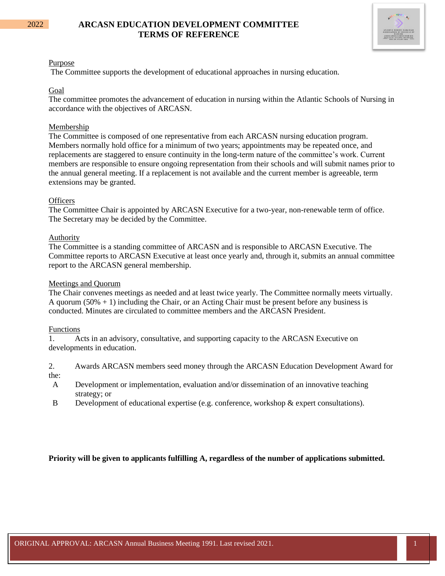## 2022 **ARCASN EDUCATION DEVELOPMENT COMMITTEE TERMS OF REFERENCE**



#### Purpose

The Committee supports the development of educational approaches in nursing education.

#### Goal

The committee promotes the advancement of education in nursing within the Atlantic Schools of Nursing in accordance with the objectives of ARCASN.

### Membership

The Committee is composed of one representative from each ARCASN nursing education program. Members normally hold office for a minimum of two years; appointments may be repeated once, and replacements are staggered to ensure continuity in the long-term nature of the committee's work. Current members are responsible to ensure ongoing representation from their schools and will submit names prior to the annual general meeting. If a replacement is not available and the current member is agreeable, term extensions may be granted.

### **Officers**

The Committee Chair is appointed by ARCASN Executive for a two-year, non-renewable term of office. The Secretary may be decided by the Committee.

#### Authority

The Committee is a standing committee of ARCASN and is responsible to ARCASN Executive. The Committee reports to ARCASN Executive at least once yearly and, through it, submits an annual committee report to the ARCASN general membership.

#### Meetings and Quorum

The Chair convenes meetings as needed and at least twice yearly. The Committee normally meets virtually. A quorum  $(50\% + 1)$  including the Chair, or an Acting Chair must be present before any business is conducted. Minutes are circulated to committee members and the ARCASN President.

#### Functions

1. Acts in an advisory, consultative, and supporting capacity to the ARCASN Executive on developments in education.

2. Awards ARCASN members seed money through the ARCASN Education Development Award for the:

- A Development or implementation, evaluation and/or dissemination of an innovative teaching strategy; or
- B Development of educational expertise (e.g. conference, workshop & expert consultations).

#### **Priority will be given to applicants fulfilling A, regardless of the number of applications submitted.**